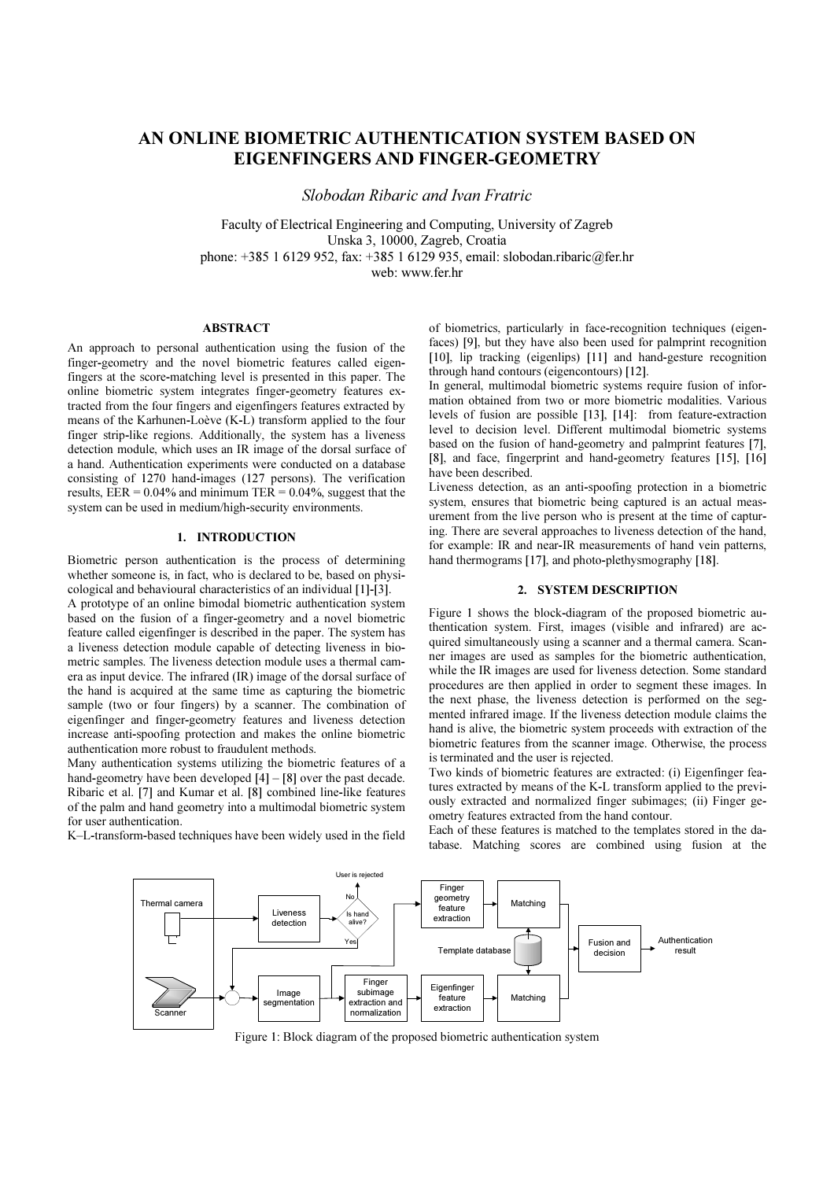# AN ONLINE BIOMETRIC AUTHENTICATION SYSTEM BASED ON EIGENFINGERS AND FINGER-GEOMETRY

Slobodan Ribaric and Ivan Fratric

Faculty of Electrical Engineering and Computing, University of Zagreb Unska 3, 1 0000, Zagreb, Croatia phone: +385 1 6129 952, fax: +385 1 6129 935, email: slobodan.ribaric@fer.hr web: www.fer. hr

#### ABSTRACT

An approach to personal authentication using the fusion of the finger-geometry and the novel biometric features called eigenfingers at the score-matching level is presented in this paper. The online biometric system integrates finger-geometry features extracted from the four fingers and eigenfingers features extracted by means of the Karhunen-Loève (K-L) transform applied to the four finger strip-like regions. Additionally, the system has a liveness detection module, which uses an IR image of the dorsal surface of a hand. Authentication experiments were conducted on a database consisting of 1270 hand-images (127 persons). The verification results,  $EER = 0.04\%$  and minimum TER = 0.04%, suggest that the system can be used in medium/high-security environments.

#### 1. INTRODUCTION

Biometric person authentication is the process of determining whether someone is, in fact, who is declared to be, based on physicological and behavioural characteristics of an individual [1 ]-[3].

A prototype of an online bimodal biometric authentication system based on the fusion of a finger-geometry and a novel biometric feature called eigenfinger is described in the paper. The system has a liveness detection module capable of detecting liveness in biometric samples. The liveness detection module uses a thermal camera as input device. The infrared (IR) image of the dorsal surface of the hand is acquired at the same time as capturing the biometric sample (two or four fingers) by a scanner. The combination of eigenfinger and finger-geometry features and liveness detection increase anti-spoofing protection and makes the online biometric authentication more robust to fraudulent methods.

Many authentication systems utilizing the biometric features of a hand-geometry have been developed  $[4] - [8]$  over the past decade. Ribaric et al. [7] and Kumar et al. [8] combined line-like features of the palm and hand geometry into a multimodal biometric system for user authentication.

K–L-transform-based techniques have been widely used in the field

of biometrics, particularly in face-recognition techniques (eigenfaces) [9], but they have also been used for palmprint recognition [10], lip tracking (eigenlips) [11] and hand-gesture recognition through hand contours (eigencontours) [12].

In general, multimodal biometric systems require fusion of information obtained from two or more biometric modalities. Various levels of fusion are possible [13], [14]: from feature-extraction level to decision level. Different multimodal biometric systems based on the fusion of hand-geometry and palmprint features [7], [8], and face, fingerprint and hand-geometry features [15], [16] have been described.

Liveness detection, as an anti-spoofing protection in a biometric system, ensures that biometric being captured is an actual measurement from the live person who is present at the time of capturing. There are several approaches to liveness detection of the hand, for example: IR and near-IR measurements of hand vein patterns, hand thermograms [17], and photo-plethysmography [18].

## 2. SYSTEM DESCRIPTION

Figure 1 shows the block-diagram of the proposed biometric authentication system. First, images (visible and infrared) are acquired simultaneously using a scanner and a thermal camera. Scanner images are used as samples for the biometric authentication, while the IR images are used for liveness detection. Some standard procedures are then applied in order to segment these images. In the next phase, the liveness detection is performed on the segmented infrared image. If the liveness detection module claims the hand is alive, the biometric system proceeds with extraction of the biometric features from the scanner image. Otherwise, the process is terminated and the user is rejected.

Two kinds of biometric features are extracted: (i) Eigenfinger features extracted by means of the K-L transform applied to the previously extracted and normalized finger subimages; (ii) Finger geometry features extracted from the hand contour.

Each of these features is matched to the templates stored in the database. Matching scores are combined using fusion at the



Figure 1: Block diagram of the proposed biometric authentication system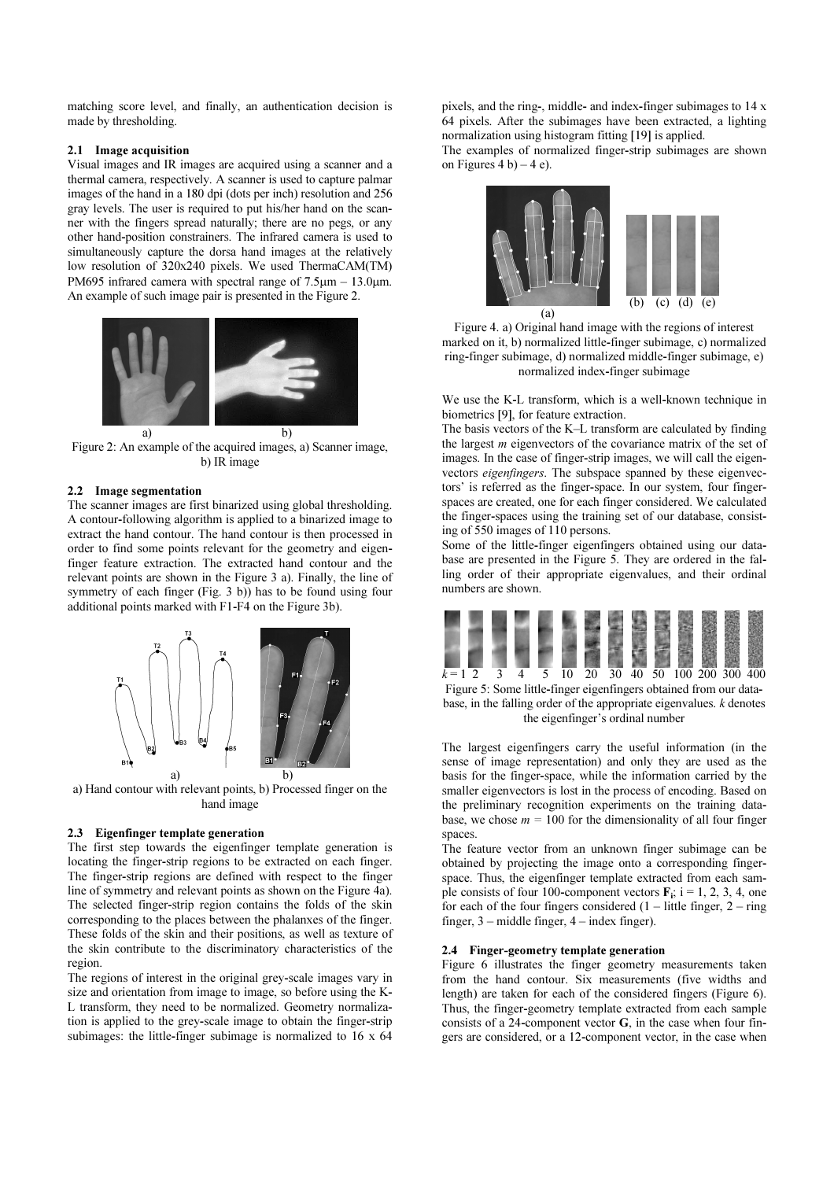matching score level, and finally, an authentication decision is made by thresholding.

# 2.1 Image acquisition

Visual images and IR images are acquired using a scanner and a thermal camera, respectively. A scanner is used to capture palmar images of the hand in a 180 dpi (dots per inch) resolution and 256 gray levels. The user is required to put his/her hand on the scanner with the fingers spread naturally; there are no pegs, or any other hand-position constrainers. The infrared camera is used to simultaneously capture the dorsa hand images at the relatively low resolution of 320x240 pixels. We used ThermaCAM(TM) PM695 infrared camera with spectral range of  $7.5\mu$ m – 13.0 $\mu$ m. An example of such image pair is presented in the Figure 2.



Figure 2: An example of the acquired images, a) Scanner image, b) IR image

## 2.2 Image segmentation

The scanner images are first binarized using global thresholding. A contour-following algorithm is applied to a binarized image to extract the hand contour. The hand contour is then processed in order to find some points relevant for the geometry and eigenfinger feature extraction. The extracted hand contour and the relevant points are shown in the Figure 3 a). Finally, the line of symmetry of each finger (Fig. 3 b)) has to be found using four additional points marked with F1 -F4 on the Figure 3b).



a) Hand contour with relevant points, b) Processed finger on the hand image

# 2.3 Eigenfinger template generation

The first step towards the eigenfinger template generation is locating the finger-strip regions to be extracted on each finger. The finger-strip regions are defined with respect to the finger line of symmetry and relevant points as shown on the Figure 4a). The selected finger-strip region contains the folds of the skin corresponding to the places between the phalanxes of the finger. These folds of the skin and their positions, as well as texture of the skin contribute to the discriminatory characteristics of the region.

The regions of interest in the original grey-scale images vary in size and orientation from image to image, so before using the K-L transform, they need to be normalized. Geometry normalization is applied to the grey-scale image to obtain the finger-strip subimages: the little-finger subimage is normalized to  $16 \times 64$ 

pixels, and the ring-, middle- and index-finger subimages to 14 x 64 pixels. After the subimages have been extracted, a lighting normalization using histogram fitting [19] is applied.

The examples of normalized finger-strip subimages are shown on Figures 4 b) – 4 e).





We use the K-L transform, which is a well-known technique in biometrics [9], for feature extraction.

The basis vectors of the K–L transform are calculated by finding the largest m eigenvectors of the covariance matrix of the set of images. In the case of finger-strip images, we will call the eigenvectors eigenfingers. The subspace spanned by these eigenvectors' is referred as the finger-space. In our system, four fingerspaces are created, one for each finger considered. We calculated the finger-spaces using the training set of our database, consisting of 550 images of 110 persons.

Some of the little-finger eigenfingers obtained using our database are presented in the Figure 5. They are ordered in the falling order of their appropriate eigenvalues, and their ordinal numbers are shown.



Figure 5: Some little-finger eigenfingers obtained from our database, in the falling order of the appropriate eigenvalues. k denotes the eigenfinger's ordinal number

The largest eigenfingers carry the useful information (in the sense of image representation) and only they are used as the basis for the finger-space, while the information carried by the smaller eigenvectors is lost in the process of encoding. Based on the preliminary recognition experiments on the training database, we chose  $m = 100$  for the dimensionality of all four finger spaces.

The feature vector from an unknown finger subimage can be obtained by projecting the image onto a corresponding fingerspace. Thus, the eigenfinger template extracted from each sample consists of four 100-component vectors  $\mathbf{F}_i$ ; i = 1, 2, 3, 4, one for each of the four fingers considered  $(1 -$  little finger,  $2 -$  ring finger, 3 – middle finger, 4 – index finger).

## 2.4 Finger-geometry template generation

Figure 6 illustrates the finger geometry measurements taken from the hand contour. Six measurements (five widths and length) are taken for each of the considered fingers (Figure 6). Thus, the finger-geometry template extracted from each sample consists of a 24-component vector G, in the case when four fingers are considered, or a 12-component vector, in the case when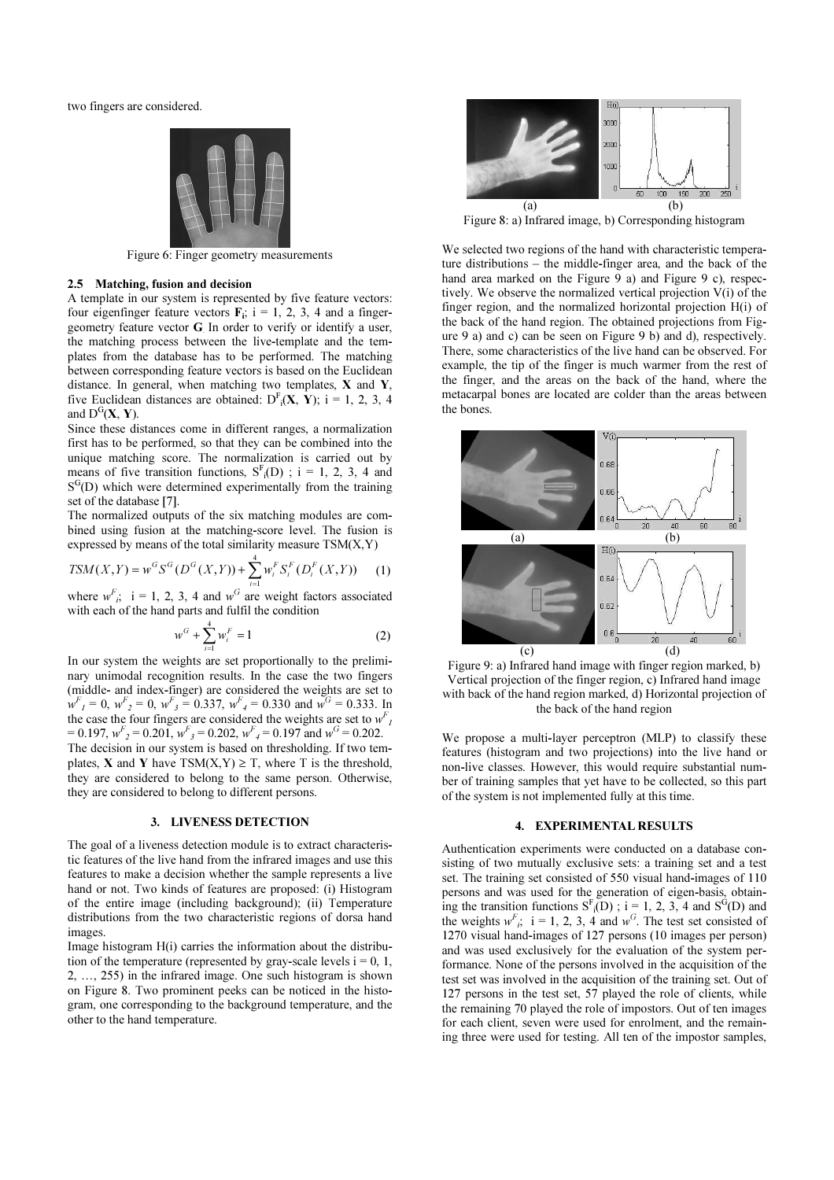two fingers are considered.



Figure 6: Finger geometry measurements

#### 2.5 Matching, fusion and decision

A template in our system is represented by five feature vectors: four eigenfinger feature vectors  $F_i$ ; i = 1, 2, 3, 4 and a fingergeometry feature vector G. In order to verify or identify a user, the matching process between the live-template and the templates from the database has to be performed. The matching between corresponding feature vectors is based on the Euclidean distance. In general, when matching two templates,  $X$  and  $Y$ , five Euclidean distances are obtained:  $D^{F}$ <sub>i</sub>(**X**, **Y**); i = 1, 2, 3, 4 and  $D^{G}(X, Y)$ .

Since these distances come in different ranges, a normalization first has to be performed, so that they can be combined into the unique matching score. The normalization is carried out by means of five transition functions,  $S<sup>F</sup><sub>i</sub>(D)$ ; i = 1, 2, 3, 4 and S<sup>G</sup>(D) which were determined experimentally from the training set of the database [7].

The normalized outputs of the six matching modules are combined using fusion at the matching-score level. The fusion is expressed by means of the total similarity measure  $TSM(X, Y)$ 

$$
TSM(X,Y) = w^{G} S^{G} (D^{G}(X,Y)) + \sum_{i=1}^{4} w_{i}^{F} S_{i}^{F} (D_{i}^{F}(X,Y))
$$
 (1)

where  $w^F$ ; i = 1, 2, 3, 4 and  $w^G$  are weight factors associated with each of the hand parts and fulfil the condition

$$
w^G + \sum_{i=1}^4 w_i^F = 1
$$
 (2)

In our system the weights are set proportionally to the preliminary unimodal recognition results. In the case the two fingers (middle- and index-finger) are considered the weights are set to  $w_{I}^{F} = 0$ ,  $w_{2}^{F} = 0$ ,  $w_{3}^{F} = 0.337$ ,  $w_{4}^{F} = 0.330$  and  $w_{4}^{G} = 0.333$ . In the case the four fingers are considered the weights are set to  $w_f^F$  $= 0.197$ ,  $w_{\text{f}}^F = 0.201$ ,  $w_{\text{f}}^F = 0.202$ ,  $w_{\text{f}}^F = 0.197$  and  $w_{\text{f}}^G = 0.202$ . The decision in our system is based on thresholding. If two templates, **X** and **Y** have  $TSM(X,Y) \geq T$ , where T is the threshold, they are considered to belong to the same person. Otherwise, they are considered to belong to different persons.

#### 3. LIVENESS DETECTION

The goal of a liveness detection module is to extract characteristic features of the live hand from the infrared images and use this features to make a decision whether the sample represents a live hand or not. Two kinds of features are proposed: (i) Histogram of the entire image (including background); (ii) Temperature distributions from the two characteristic regions of dorsa hand images.

Image histogram H(i) carries the information about the distribution of the temperature (represented by gray-scale levels  $i = 0, 1,$ 2, … , 255) in the infrared image. One such histogram is shown on Figure 8. Two prominent peeks can be noticed in the histogram, one corresponding to the background temperature, and the other to the hand temperature.



Figure 8: a) Infrared image, b) Corresponding histogram

We selected two regions of the hand with characteristic temperature distributions – the middle-finger area, and the back of the hand area marked on the Figure 9 a) and Figure 9 c), respectively. We observe the normalized vertical projection V(i) of the finger region, and the normalized horizontal projection H(i) of the back of the hand region. The obtained projections from Figure 9 a) and c) can be seen on Figure 9 b) and d), respectively. There, some characteristics of the live hand can be observed. For example, the tip of the finger is much warmer from the rest of the finger, and the areas on the back of the hand, where the metacarpal bones are located are colder than the areas between the bones.



Figure 9: a) Infrared hand image with finger region marked, b) Vertical projection of the finger region, c) Infrared hand image with back of the hand region marked, d) Horizontal projection of the back of the hand region

We propose a multi-layer perceptron (MLP) to classify these features (histogram and two projections) into the live hand or non-live classes. However, this would require substantial number of training samples that yet have to be collected, so this part of the system is not implemented fully at this time.

## 4. EXPERIMENTAL RESULTS

Authentication experiments were conducted on a database consisting of two mutually exclusive sets: a training set and a test set. The training set consisted of 550 visual hand-images of 110 persons and was used for the generation of eigen-basis, obtaining the transition functions  $S<sup>F</sup>(D)$ ; i = 1, 2, 3, 4 and  $S<sup>G</sup>(D)$  and the weights  $w<sup>F</sup>$ ; i = 1, 2, 3, 4 and  $w<sup>G</sup>$ . The test set consisted of 1270 visual hand-images of 127 persons (10 images per person) and was used exclusively for the evaluation of the system performance. None of the persons involved in the acquisition of the test set was involved in the acquisition of the training set. Out of 127 persons in the test set, 57 played the role of clients, while the remaining 70 played the role of impostors. Out of ten images for each client, seven were used for enrolment, and the remaining three were used for testing. All ten of the impostor samples,